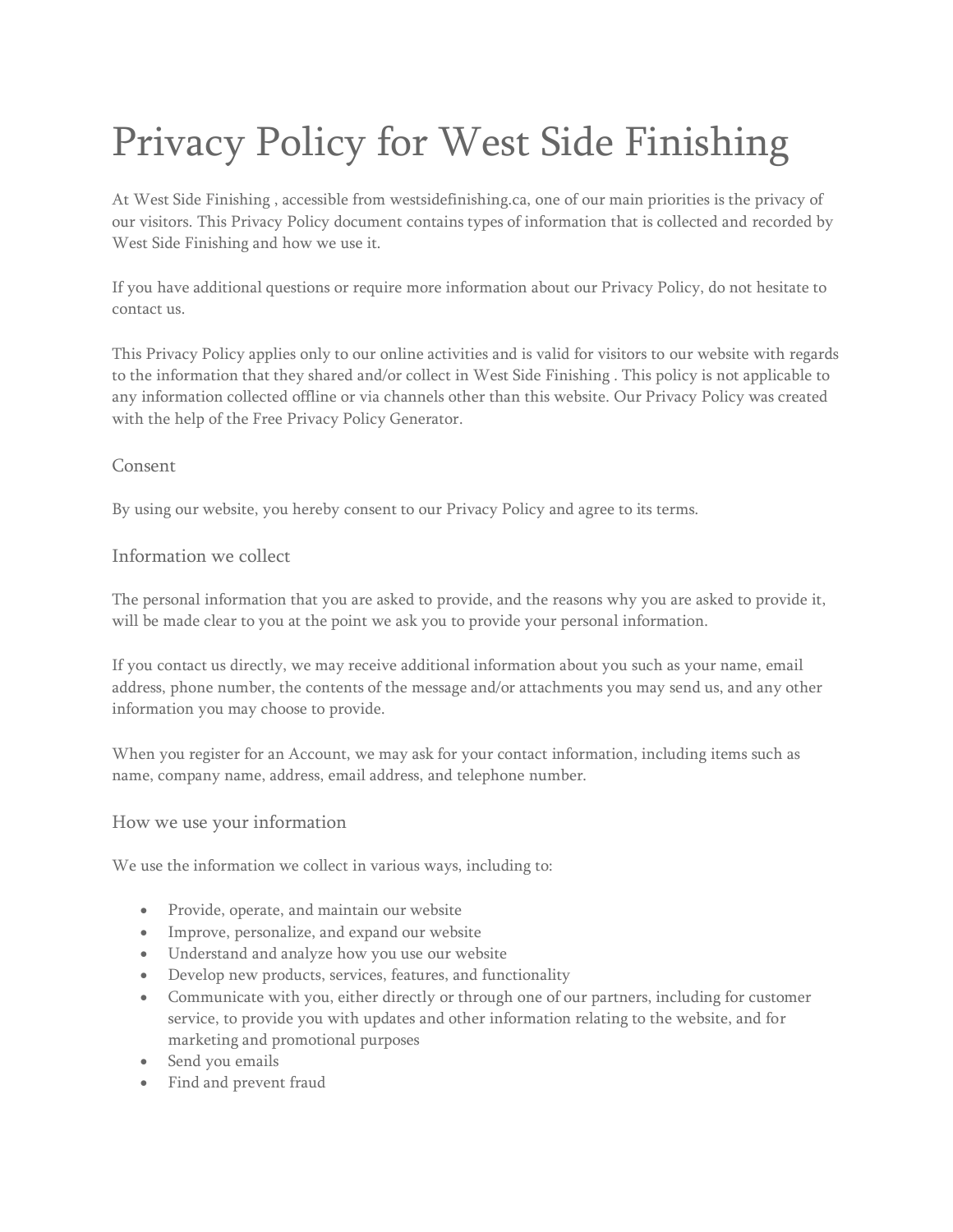# Privacy Policy for West Side Finishing

At West Side Finishing , accessible from westsidefinishing.ca, one of our main priorities is the privacy of our visitors. This Privacy Policy document contains types of information that is collected and recorded by West Side Finishing and how we use it.

If you have additional questions or require more information about our Privacy Policy, do not hesitate to contact us.

This Privacy Policy applies only to our online activities and is valid for visitors to our website with regards to the information that they shared and/or collect in West Side Finishing . This policy is not applicable to any information collected offline or via channels other than this website. Our Privacy Policy was created with the help of the [Free Privacy Policy Generator.](https://www.privacypolicygenerator.info/)

## Consent

By using our website, you hereby consent to our Privacy Policy and agree to its terms.

## Information we collect

The personal information that you are asked to provide, and the reasons why you are asked to provide it, will be made clear to you at the point we ask you to provide your personal information.

If you contact us directly, we may receive additional information about you such as your name, email address, phone number, the contents of the message and/or attachments you may send us, and any other information you may choose to provide.

When you register for an Account, we may ask for your contact information, including items such as name, company name, address, email address, and telephone number.

#### How we use your information

We use the information we collect in various ways, including to:

- Provide, operate, and maintain our website
- Improve, personalize, and expand our website
- Understand and analyze how you use our website
- Develop new products, services, features, and functionality
- Communicate with you, either directly or through one of our partners, including for customer service, to provide you with updates and other information relating to the website, and for marketing and promotional purposes
- Send you emails
- Find and prevent fraud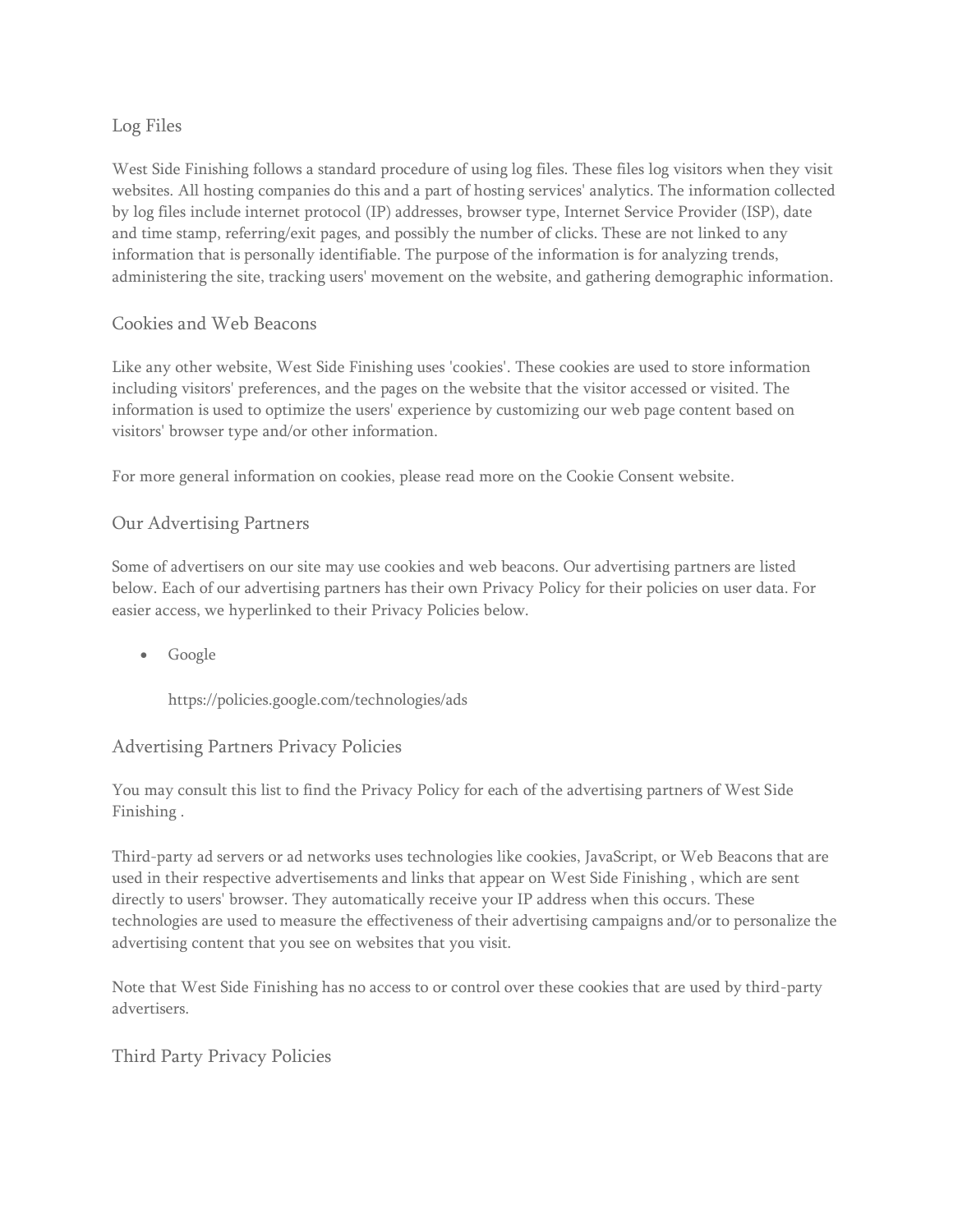# Log Files

West Side Finishing follows a standard procedure of using log files. These files log visitors when they visit websites. All hosting companies do this and a part of hosting services' analytics. The information collected by log files include internet protocol (IP) addresses, browser type, Internet Service Provider (ISP), date and time stamp, referring/exit pages, and possibly the number of clicks. These are not linked to any information that is personally identifiable. The purpose of the information is for analyzing trends, administering the site, tracking users' movement on the website, and gathering demographic information.

## Cookies and Web Beacons

Like any other website, West Side Finishing uses 'cookies'. These cookies are used to store information including visitors' preferences, and the pages on the website that the visitor accessed or visited. The information is used to optimize the users' experience by customizing our web page content based on visitors' browser type and/or other information.

For more general information on cookies, please read [more on the Cookie Consent website.](https://www.cookieconsent.com/)

## Our Advertising Partners

Some of advertisers on our site may use cookies and web beacons. Our advertising partners are listed below. Each of our advertising partners has their own Privacy Policy for their policies on user data. For easier access, we hyperlinked to their Privacy Policies below.

• Google

<https://policies.google.com/technologies/ads>

## Advertising Partners Privacy Policies

You may consult this list to find the Privacy Policy for each of the advertising partners of West Side Finishing .

Third-party ad servers or ad networks uses technologies like cookies, JavaScript, or Web Beacons that are used in their respective advertisements and links that appear on West Side Finishing , which are sent directly to users' browser. They automatically receive your IP address when this occurs. These technologies are used to measure the effectiveness of their advertising campaigns and/or to personalize the advertising content that you see on websites that you visit.

Note that West Side Finishing has no access to or control over these cookies that are used by third-party advertisers.

## Third Party Privacy Policies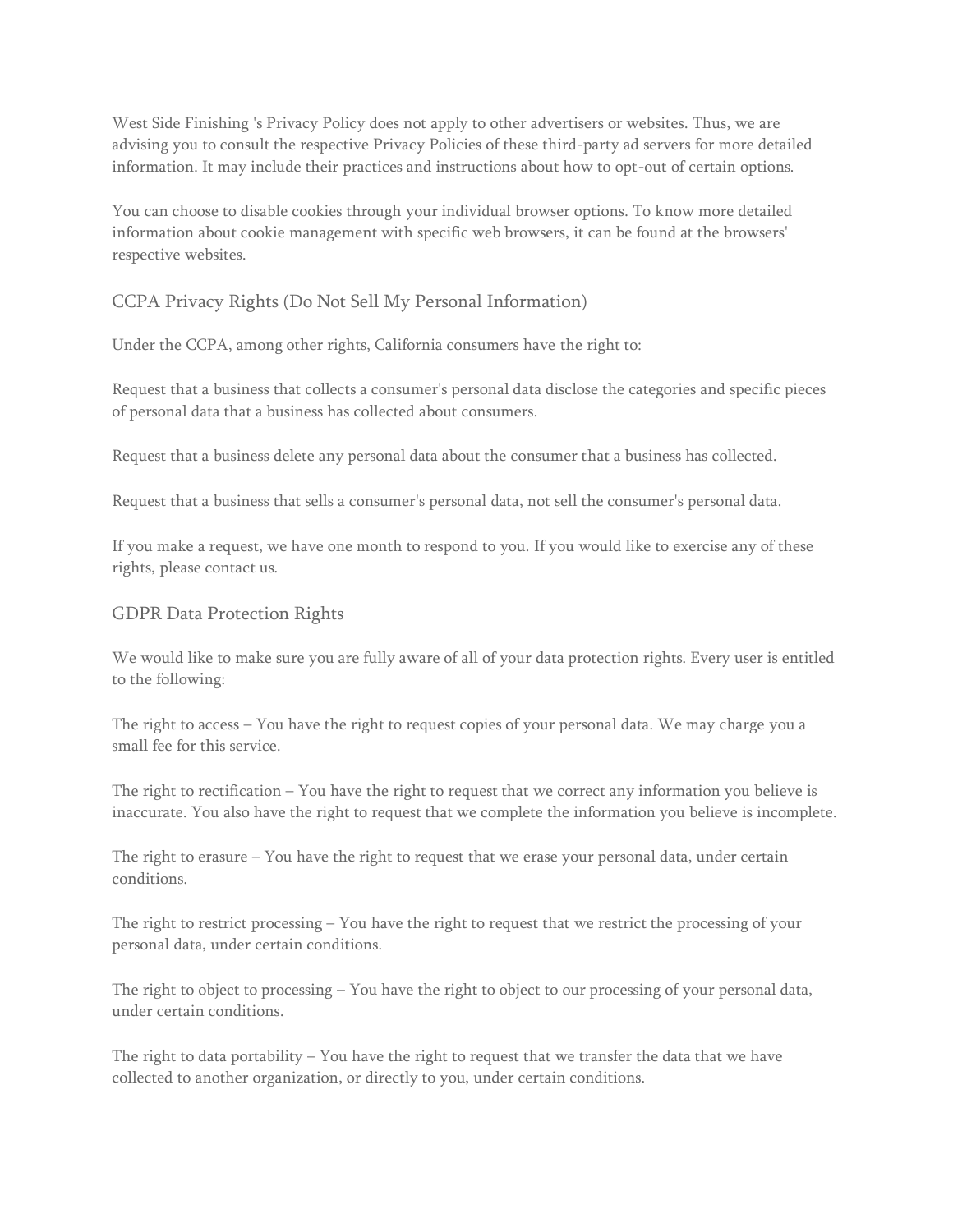West Side Finishing 's Privacy Policy does not apply to other advertisers or websites. Thus, we are advising you to consult the respective Privacy Policies of these third-party ad servers for more detailed information. It may include their practices and instructions about how to opt-out of certain options.

You can choose to disable cookies through your individual browser options. To know more detailed information about cookie management with specific web browsers, it can be found at the browsers' respective websites.

## CCPA Privacy Rights (Do Not Sell My Personal Information)

Under the CCPA, among other rights, California consumers have the right to:

Request that a business that collects a consumer's personal data disclose the categories and specific pieces of personal data that a business has collected about consumers.

Request that a business delete any personal data about the consumer that a business has collected.

Request that a business that sells a consumer's personal data, not sell the consumer's personal data.

If you make a request, we have one month to respond to you. If you would like to exercise any of these rights, please contact us.

#### GDPR Data Protection Rights

We would like to make sure you are fully aware of all of your data protection rights. Every user is entitled to the following:

The right to access – You have the right to request copies of your personal data. We may charge you a small fee for this service.

The right to rectification – You have the right to request that we correct any information you believe is inaccurate. You also have the right to request that we complete the information you believe is incomplete.

The right to erasure – You have the right to request that we erase your personal data, under certain conditions.

The right to restrict processing – You have the right to request that we restrict the processing of your personal data, under certain conditions.

The right to object to processing – You have the right to object to our processing of your personal data, under certain conditions.

The right to data portability  $-$  You have the right to request that we transfer the data that we have collected to another organization, or directly to you, under certain conditions.